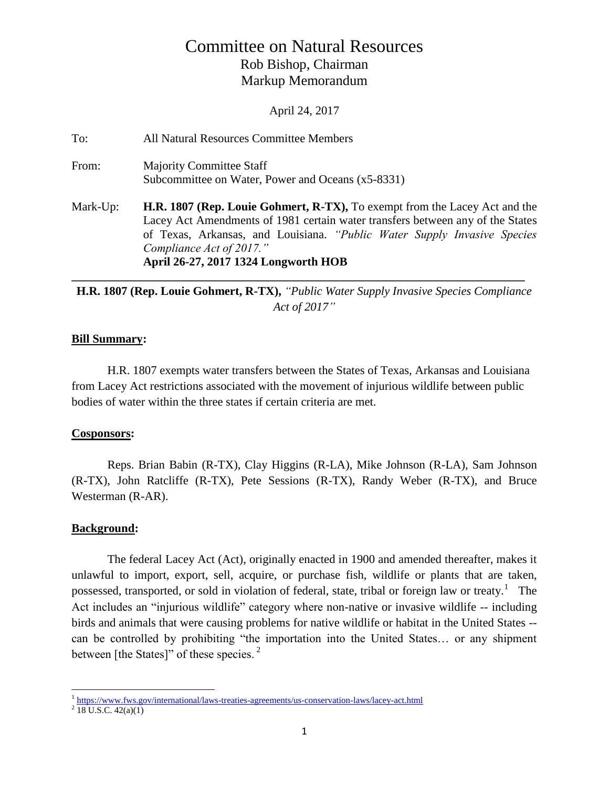# Committee on Natural Resources Rob Bishop, Chairman Markup Memorandum

April 24, 2017

To: All Natural Resources Committee Members From: Majority Committee Staff Subcommittee on Water, Power and Oceans (x5-8331) Mark-Up: **H.R. 1807 (Rep. Louie Gohmert, R-TX),** To exempt from the Lacey Act and the Lacey Act Amendments of 1981 certain water transfers between any of the States of Texas, Arkansas, and Louisiana. *"Public Water Supply Invasive Species Compliance Act of 2017."* **April 26-27, 2017 1324 Longworth HOB**

**H.R. 1807 (Rep. Louie Gohmert, R-TX),** *"Public Water Supply Invasive Species Compliance Act of 2017"*

**\_\_\_\_\_\_\_\_\_\_\_\_\_\_\_\_\_\_\_\_\_\_\_\_\_\_\_\_\_\_\_\_\_\_\_\_\_\_\_\_\_\_\_\_\_\_\_\_\_\_\_\_\_\_\_\_\_\_\_\_\_\_\_\_\_\_\_\_\_\_\_\_\_\_\_\_**

## **Bill Summary:**

H.R. 1807 exempts water transfers between the States of Texas, Arkansas and Louisiana from Lacey Act restrictions associated with the movement of injurious wildlife between public bodies of water within the three states if certain criteria are met.

## **Cosponsors:**

Reps. Brian Babin (R-TX), Clay Higgins (R-LA), Mike Johnson (R-LA), Sam Johnson (R-TX), John Ratcliffe (R-TX), Pete Sessions (R-TX), Randy Weber (R-TX), and Bruce Westerman (R-AR).

## **Background:**

The federal Lacey Act (Act), originally enacted in 1900 and amended thereafter, makes it unlawful to import, export, sell, acquire, or purchase fish, wildlife or plants that are taken, possessed, transported, or sold in violation of federal, state, tribal or foreign law or treaty.<sup>1</sup> The Act includes an "injurious wildlife" category where non-native or invasive wildlife -- including birds and animals that were causing problems for native wildlife or habitat in the United States - can be controlled by prohibiting "the importation into the United States… or any shipment between [the States]" of these species. $<sup>2</sup>$ </sup>

<sup>&</sup>lt;sup>1</sup> <https://www.fws.gov/international/laws-treaties-agreements/us-conservation-laws/lacey-act.html>

 $2$  18 U.S.C. 42(a)(1)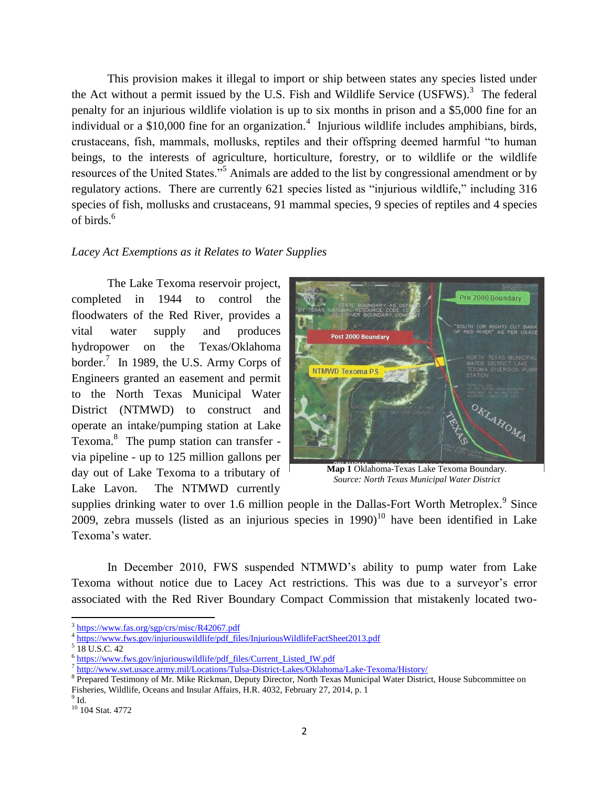This provision makes it illegal to import or ship between states any species listed under the Act without a permit issued by the U.S. Fish and Wildlife Service  $(USFWS)^3$  The federal penalty for an injurious wildlife violation is up to six months in prison and a \$5,000 fine for an individual or a \$10,000 fine for an organization.<sup>4</sup> Injurious wildlife includes amphibians, birds, crustaceans, fish, mammals, mollusks, reptiles and their offspring deemed harmful "to human beings, to the interests of agriculture, horticulture, forestry, or to wildlife or the wildlife resources of the United States."<sup>5</sup> Animals are added to the list by congressional amendment or by regulatory actions. There are currently 621 species listed as "injurious wildlife," including 316 species of fish, mollusks and crustaceans, 91 mammal species, 9 species of reptiles and 4 species of birds.<sup>6</sup>

#### *Lacey Act Exemptions as it Relates to Water Supplies*

The Lake Texoma reservoir project, completed in 1944 to control the floodwaters of the Red River, provides a vital water supply and produces hydropower on the Texas/Oklahoma border.<sup>7</sup> In 1989, the U.S. Army Corps of Engineers granted an easement and permit to the North Texas Municipal Water District (NTMWD) to construct and operate an intake/pumping station at Lake Texoma.<sup>8</sup> The pump station can transfer via pipeline - up to 125 million gallons per day out of Lake Texoma to a tributary of Lake Lavon. The NTMWD currently



**Map 1** Oklahoma-Texas Lake Texoma Boundary. *Source: North Texas Municipal Water District*

supplies drinking water to over 1.6 million people in the Dallas-Fort Worth Metroplex. $9$  Since 2009, zebra mussels (listed as an injurious species in  $1990$ )<sup>10</sup> have been identified in Lake Texoma's water.

In December 2010, FWS suspended NTMWD's ability to pump water from Lake Texoma without notice due to Lacey Act restrictions. This was due to a surveyor's error associated with the Red River Boundary Compact Commission that mistakenly located two-

 $\overline{\phantom{a}}$ 

<sup>&</sup>lt;sup>3</sup> <https://www.fas.org/sgp/crs/misc/R42067.pdf>

<sup>&</sup>lt;sup>4</sup> [https://www.fws.gov/injuriouswildlife/pdf\\_files/InjuriousWildlifeFactSheet2013.pdf](https://www.fws.gov/injuriouswildlife/pdf_files/InjuriousWildlifeFactSheet2013.pdf)

<sup>5</sup> 18 U.S.C. 42

<sup>&</sup>lt;sup>6</sup> [https://www.fws.gov/injuriouswildlife/pdf\\_files/Current\\_Listed\\_IW.pdf](https://www.fws.gov/injuriouswildlife/pdf_files/Current_Listed_IW.pdf)

<sup>&</sup>lt;sup>7</sup> <http://www.swt.usace.army.mil/Locations/Tulsa-District-Lakes/Oklahoma/Lake-Texoma/History/>

<sup>&</sup>lt;sup>8</sup> Prepared Testimony of Mr. Mike Rickman, Deputy Director, North Texas Municipal Water District, House Subcommittee on Fisheries, Wildlife, Oceans and Insular Affairs, H.R. 4032, February 27, 2014, p. 1

 $^9$  Id.

<sup>10</sup> 104 Stat. 4772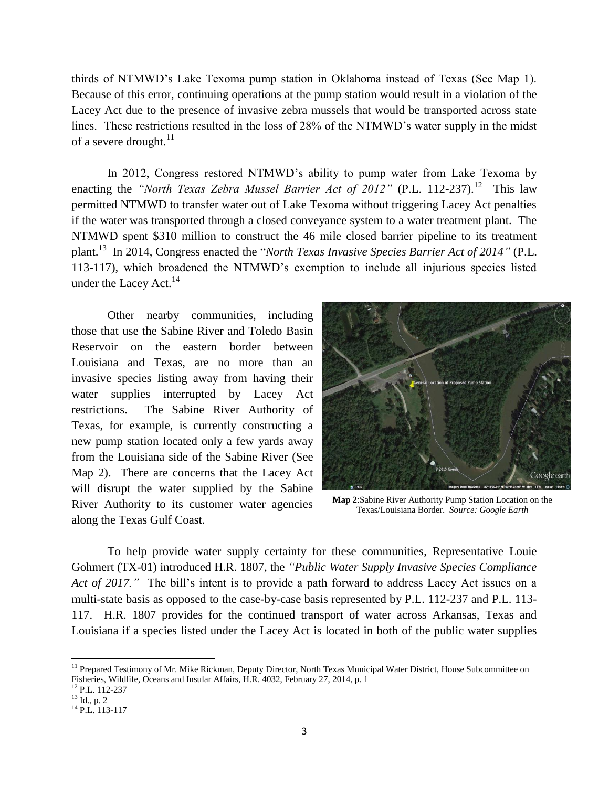thirds of NTMWD's Lake Texoma pump station in Oklahoma instead of Texas (See Map 1). Because of this error, continuing operations at the pump station would result in a violation of the Lacey Act due to the presence of invasive zebra mussels that would be transported across state lines. These restrictions resulted in the loss of 28% of the NTMWD's water supply in the midst of a severe drought. $^{11}$ 

In 2012, Congress restored NTMWD's ability to pump water from Lake Texoma by enacting the *"North Texas Zebra Mussel Barrier Act of 2012"* (P.L. 112-237).<sup>12</sup> This law permitted NTMWD to transfer water out of Lake Texoma without triggering Lacey Act penalties if the water was transported through a closed conveyance system to a water treatment plant. The NTMWD spent \$310 million to construct the 46 mile closed barrier pipeline to its treatment plant.<sup>13</sup> In 2014, Congress enacted the "*North Texas Invasive Species Barrier Act of 2014"* (P.L. 113-117), which broadened the NTMWD's exemption to include all injurious species listed under the Lacey Act. $^{14}$ 

Other nearby communities, including those that use the Sabine River and Toledo Basin Reservoir on the eastern border between Louisiana and Texas, are no more than an invasive species listing away from having their water supplies interrupted by Lacey Act restrictions. The Sabine River Authority of Texas, for example, is currently constructing a new pump station located only a few yards away from the Louisiana side of the Sabine River (See Map 2). There are concerns that the Lacey Act will disrupt the water supplied by the Sabine River Authority to its customer water agencies along the Texas Gulf Coast.



**Map 2**:Sabine River Authority Pump Station Location on the Texas/Louisiana Border. *Source: Google Earth*

To help provide water supply certainty for these communities, Representative Louie Gohmert (TX-01) introduced H.R. 1807, the *"Public Water Supply Invasive Species Compliance Act of 2017."* The bill's intent is to provide a path forward to address Lacey Act issues on a multi-state basis as opposed to the case-by-case basis represented by P.L. 112-237 and P.L. 113- 117. H.R. 1807 provides for the continued transport of water across Arkansas, Texas and Louisiana if a species listed under the Lacey Act is located in both of the public water supplies

l

<sup>&</sup>lt;sup>11</sup> Prepared Testimony of Mr. Mike Rickman, Deputy Director, North Texas Municipal Water District, House Subcommittee on Fisheries, Wildlife, Oceans and Insular Affairs, H.R. 4032, February 27, 2014, p. 1

<sup>12</sup> P.L. 112-237

<sup>13</sup> Id., p. 2

<sup>&</sup>lt;sup>14</sup> P.L. 113-117